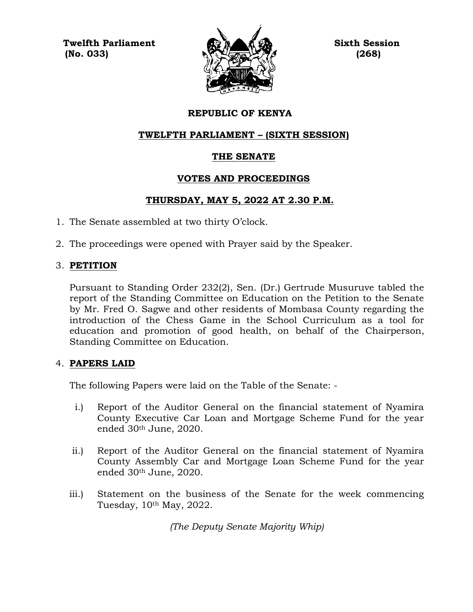**Twelfth Parliament Sixth Session**  $\mathbb{N}$  (No. 033)  $\mathbb{N}$  (268)



# **REPUBLIC OF KENYA**

# **TWELFTH PARLIAMENT – (SIXTH SESSION)**

# **THE SENATE**

# **VOTES AND PROCEEDINGS**

# **THURSDAY, MAY 5, 2022 AT 2.30 P.M.**

- 1. The Senate assembled at two thirty O'clock.
- 2. The proceedings were opened with Prayer said by the Speaker.

# 3. **PETITION**

Pursuant to Standing Order 232(2), Sen. (Dr.) Gertrude Musuruve tabled the report of the Standing Committee on Education on the Petition to the Senate by Mr. Fred O. Sagwe and other residents of Mombasa County regarding the introduction of the Chess Game in the School Curriculum as a tool for education and promotion of good health, on behalf of the Chairperson, Standing Committee on Education.

## 4. **PAPERS LAID**

The following Papers were laid on the Table of the Senate: -

- i.) Report of the Auditor General on the financial statement of Nyamira County Executive Car Loan and Mortgage Scheme Fund for the year ended 30th June, 2020.
- ii.) Report of the Auditor General on the financial statement of Nyamira County Assembly Car and Mortgage Loan Scheme Fund for the year ended 30th June, 2020.
- iii.) Statement on the business of the Senate for the week commencing Tuesday, 10th May, 2022.

*(The Deputy Senate Majority Whip)*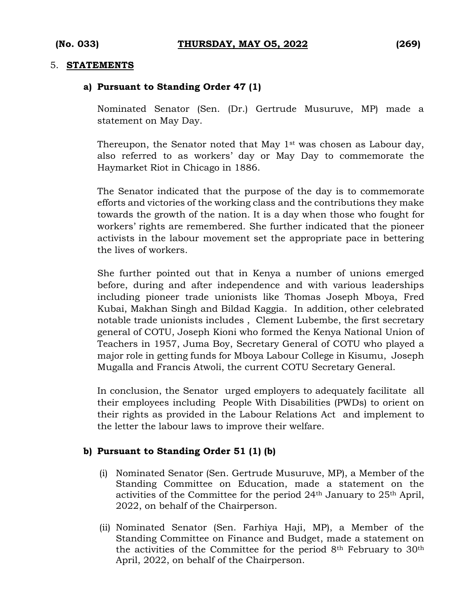#### 5. **STATEMENTS**

#### **a) Pursuant to Standing Order 47 (1)**

Nominated Senator (Sen. (Dr.) Gertrude Musuruve, MP) made a statement on May Day.

Thereupon, the Senator noted that May 1<sup>st</sup> was chosen as Labour day, also referred to as workers' day or May Day to commemorate the Haymarket Riot in Chicago in 1886.

The Senator indicated that the purpose of the day is to commemorate efforts and victories of the working class and the contributions they make towards the growth of the nation. It is a day when those who fought for workers' rights are remembered. She further indicated that the pioneer activists in the labour movement set the appropriate pace in bettering the lives of workers.

She further pointed out that in Kenya a number of unions emerged before, during and after independence and with various leaderships including pioneer trade unionists like Thomas Joseph Mboya, Fred Kubai, Makhan Singh and Bildad Kaggia. In addition, other celebrated notable trade unionists includes , Clement Lubembe, the first secretary general of COTU, Joseph Kioni who formed the Kenya National Union of Teachers in 1957, Juma Boy, Secretary General of COTU who played a major role in getting funds for Mboya Labour College in Kisumu, Joseph Mugalla and Francis Atwoli, the current COTU Secretary General.

In conclusion, the Senator urged employers to adequately facilitate all their employees including People With Disabilities (PWDs) to orient on their rights as provided in the Labour Relations Act and implement to the letter the labour laws to improve their welfare.

#### **b) Pursuant to Standing Order 51 (1) (b)**

- (i) Nominated Senator (Sen. Gertrude Musuruve, MP), a Member of the Standing Committee on Education, made a statement on the activities of the Committee for the period 24th January to 25th April, 2022, on behalf of the Chairperson.
- (ii) Nominated Senator (Sen. Farhiya Haji, MP), a Member of the Standing Committee on Finance and Budget, made a statement on the activities of the Committee for the period 8th February to 30th April, 2022, on behalf of the Chairperson.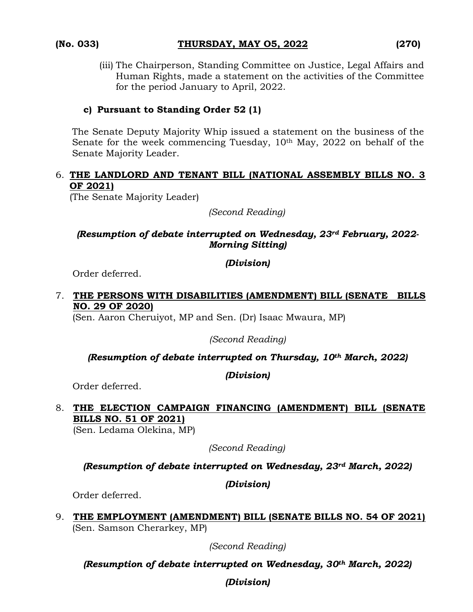(iii) The Chairperson, Standing Committee on Justice, Legal Affairs and Human Rights, made a statement on the activities of the Committee for the period January to April, 2022.

# **c) Pursuant to Standing Order 52 (1)**

The Senate Deputy Majority Whip issued a statement on the business of the Senate for the week commencing Tuesday, 10<sup>th</sup> May, 2022 on behalf of the Senate Majority Leader.

## 6. **THE LANDLORD AND TENANT BILL (NATIONAL ASSEMBLY BILLS NO. 3 OF 2021)**

(The Senate Majority Leader)

*(Second Reading)*

# *(Resumption of debate interrupted on Wednesday, 23rd February, 2022- Morning Sitting)*

## *(Division)*

Order deferred.

# 7. **THE PERSONS WITH DISABILITIES (AMENDMENT) BILL (SENATE BILLS NO. 29 OF 2020)**

(Sen. Aaron Cheruiyot, MP and Sen. (Dr) Isaac Mwaura, MP)

*(Second Reading)*

# *(Resumption of debate interrupted on Thursday, 10th March, 2022)*

*(Division)*

Order deferred.

# 8. **THE ELECTION CAMPAIGN FINANCING (AMENDMENT) BILL (SENATE BILLS NO. 51 OF 2021)**

(Sen. Ledama Olekina, MP)

*(Second Reading)*

*(Resumption of debate interrupted on Wednesday, 23rd March, 2022)*

*(Division)*

Order deferred.

9. **THE EMPLOYMENT (AMENDMENT) BILL (SENATE BILLS NO. 54 OF 2021)** (Sen. Samson Cherarkey, MP)

*(Second Reading)*

*(Resumption of debate interrupted on Wednesday, 30th March, 2022)* 

# *(Division)*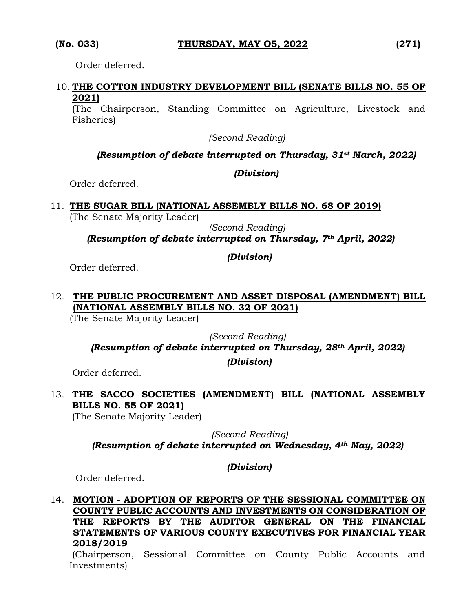Order deferred.

# 10. **THE COTTON INDUSTRY DEVELOPMENT BILL (SENATE BILLS NO. 55 OF 2021)**

(The Chairperson, Standing Committee on Agriculture, Livestock and Fisheries)

*(Second Reading)*

## *(Resumption of debate interrupted on Thursday, 31st March, 2022)*

## *(Division)*

Order deferred.

# 11. **THE SUGAR BILL (NATIONAL ASSEMBLY BILLS NO. 68 OF 2019)**

(The Senate Majority Leader)

*(Second Reading)*

*(Resumption of debate interrupted on Thursday, 7th April, 2022)*

# *(Division)*

Order deferred.

# 12. **THE PUBLIC PROCUREMENT AND ASSET DISPOSAL (AMENDMENT) BILL (NATIONAL ASSEMBLY BILLS NO. 32 OF 2021)**

(The Senate Majority Leader)

*(Second Reading)*

*(Resumption of debate interrupted on Thursday, 28th April, 2022)* 

*(Division)*

Order deferred.

# 13. **THE SACCO SOCIETIES (AMENDMENT) BILL (NATIONAL ASSEMBLY BILLS NO. 55 OF 2021)**

(The Senate Majority Leader)

 *(Second Reading) (Resumption of debate interrupted on Wednesday, 4th May, 2022)* 

*(Division)*

Order deferred.

# 14. **MOTION - ADOPTION OF REPORTS OF THE SESSIONAL COMMITTEE ON COUNTY PUBLIC ACCOUNTS AND INVESTMENTS ON CONSIDERATION OF THE REPORTS BY THE AUDITOR GENERAL ON THE FINANCIAL STATEMENTS OF VARIOUS COUNTY EXECUTIVES FOR FINANCIAL YEAR 2018/2019**

(Chairperson, Sessional Committee on County Public Accounts and Investments)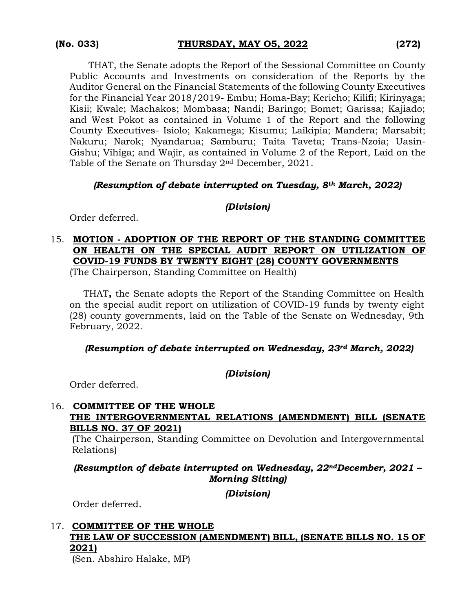THAT, the Senate adopts the Report of the Sessional Committee on County Public Accounts and Investments on consideration of the Reports by the Auditor General on the Financial Statements of the following County Executives for the Financial Year 2018/2019- Embu; Homa-Bay; Kericho; Kilifi; Kirinyaga; Kisii; Kwale; Machakos; Mombasa; Nandi; Baringo; Bomet; Garissa; Kajiado; and West Pokot as contained in Volume 1 of the Report and the following County Executives- Isiolo; Kakamega; Kisumu; Laikipia; Mandera; Marsabit; Nakuru; Narok; Nyandarua; Samburu; Taita Taveta; Trans-Nzoia; Uasin-Gishu; Vihiga; and Wajir, as contained in Volume 2 of the Report, Laid on the Table of the Senate on Thursday  $2<sup>nd</sup>$  December, 2021.

#### *(Resumption of debate interrupted on Tuesday, 8th March, 2022)*

## *(Division)*

Order deferred.

# 15. **MOTION - ADOPTION OF THE REPORT OF THE STANDING COMMITTEE ON HEALTH ON THE SPECIAL AUDIT REPORT ON UTILIZATION OF COVID-19 FUNDS BY TWENTY EIGHT (28) COUNTY GOVERNMENTS**

(The Chairperson, Standing Committee on Health)

THAT**,** the Senate adopts the Report of the Standing Committee on Health on the special audit report on utilization of COVID-19 funds by twenty eight (28) county governments, laid on the Table of the Senate on Wednesday, 9th February, 2022.

## *(Resumption of debate interrupted on Wednesday, 23rd March, 2022)*

#### *(Division)*

Order deferred.

## 16. **COMMITTEE OF THE WHOLE THE INTERGOVERNMENTAL RELATIONS (AMENDMENT) BILL (SENATE BILLS NO. 37 OF 2021)**

(The Chairperson, Standing Committee on Devolution and Intergovernmental Relations)

*(Resumption of debate interrupted on Wednesday, 22ndDecember, 2021 – Morning Sitting)*

*(Division)*

Order deferred.

# 17. **COMMITTEE OF THE WHOLE THE LAW OF SUCCESSION (AMENDMENT) BILL, (SENATE BILLS NO. 15 OF 2021)**

(Sen. Abshiro Halake, MP)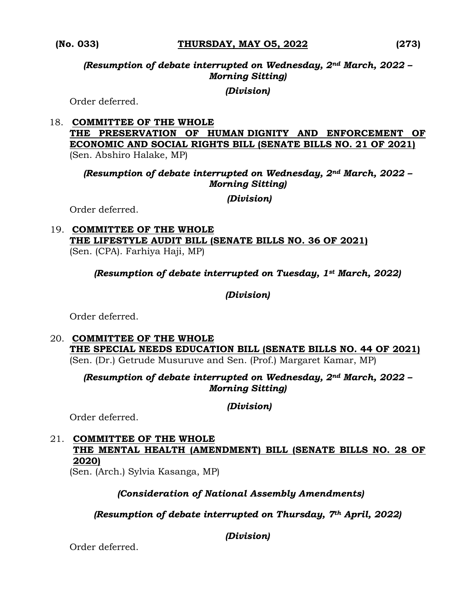*(Resumption of debate interrupted on Wednesday, 2nd March, 2022 – Morning Sitting)*

## *(Division)*

Order deferred.

18. **COMMITTEE OF THE WHOLE THE PRESERVATION OF HUMAN DIGNITY AND ENFORCEMENT OF ECONOMIC AND SOCIAL RIGHTS BILL (SENATE BILLS NO. 21 OF 2021)**  (Sen. Abshiro Halake, MP)

*(Resumption of debate interrupted on Wednesday, 2nd March, 2022 – Morning Sitting)* 

*(Division)*

Order deferred.

19. **COMMITTEE OF THE WHOLE THE LIFESTYLE AUDIT BILL (SENATE BILLS NO. 36 OF 2021)**  (Sen. (CPA). Farhiya Haji, MP)

*(Resumption of debate interrupted on Tuesday, 1st March, 2022)*

*(Division)*

Order deferred.

20. **COMMITTEE OF THE WHOLE THE SPECIAL NEEDS EDUCATION BILL (SENATE BILLS NO. 44 OF 2021)**  (Sen. (Dr.) Getrude Musuruve and Sen. (Prof.) Margaret Kamar, MP)

*(Resumption of debate interrupted on Wednesday, 2nd March, 2022 – Morning Sitting)* 

*(Division)*

Order deferred.

21. **COMMITTEE OF THE WHOLE THE MENTAL HEALTH (AMENDMENT) BILL (SENATE BILLS NO. 28 OF 2020)**

(Sen. (Arch.) Sylvia Kasanga, MP)

## *(Consideration of National Assembly Amendments)*

*(Resumption of debate interrupted on Thursday, 7th April, 2022)*

*(Division)*

Order deferred.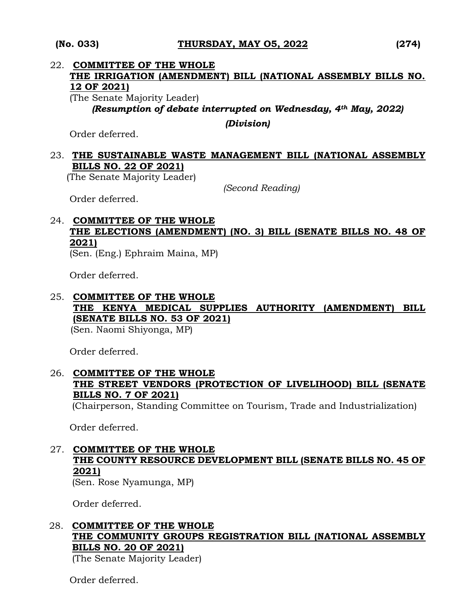## 22. **COMMITTEE OF THE WHOLE THE IRRIGATION (AMENDMENT) BILL (NATIONAL ASSEMBLY BILLS NO. 12 OF 2021)** (The Senate Majority Leader)

*(Resumption of debate interrupted on Wednesday, 4th May, 2022)*

*(Division)*

Order deferred.

# 23. **THE SUSTAINABLE WASTE MANAGEMENT BILL (NATIONAL ASSEMBLY BILLS NO. 22 OF 2021)**

(The Senate Majority Leader)

*(Second Reading)*

Order deferred.

# 24. **COMMITTEE OF THE WHOLE THE ELECTIONS (AMENDMENT) (NO. 3) BILL (SENATE BILLS NO. 48 OF 2021)**

(Sen. (Eng.) Ephraim Maina, MP)

Order deferred.

# 25. **COMMITTEE OF THE WHOLE THE KENYA MEDICAL SUPPLIES AUTHORITY (AMENDMENT) BILL (SENATE BILLS NO. 53 OF 2021)**

(Sen. Naomi Shiyonga, MP)

Order deferred.

# 26. **COMMITTEE OF THE WHOLE THE STREET VENDORS (PROTECTION OF LIVELIHOOD) BILL (SENATE BILLS NO. 7 OF 2021)**

(Chairperson, Standing Committee on Tourism, Trade and Industrialization)

Order deferred.

# 27. **COMMITTEE OF THE WHOLE THE COUNTY RESOURCE DEVELOPMENT BILL (SENATE BILLS NO. 45 OF 2021)**

(Sen. Rose Nyamunga, MP)

Order deferred.

# 28. **COMMITTEE OF THE WHOLE THE COMMUNITY GROUPS REGISTRATION BILL (NATIONAL ASSEMBLY BILLS NO. 20 OF 2021)**

(The Senate Majority Leader)

Order deferred.